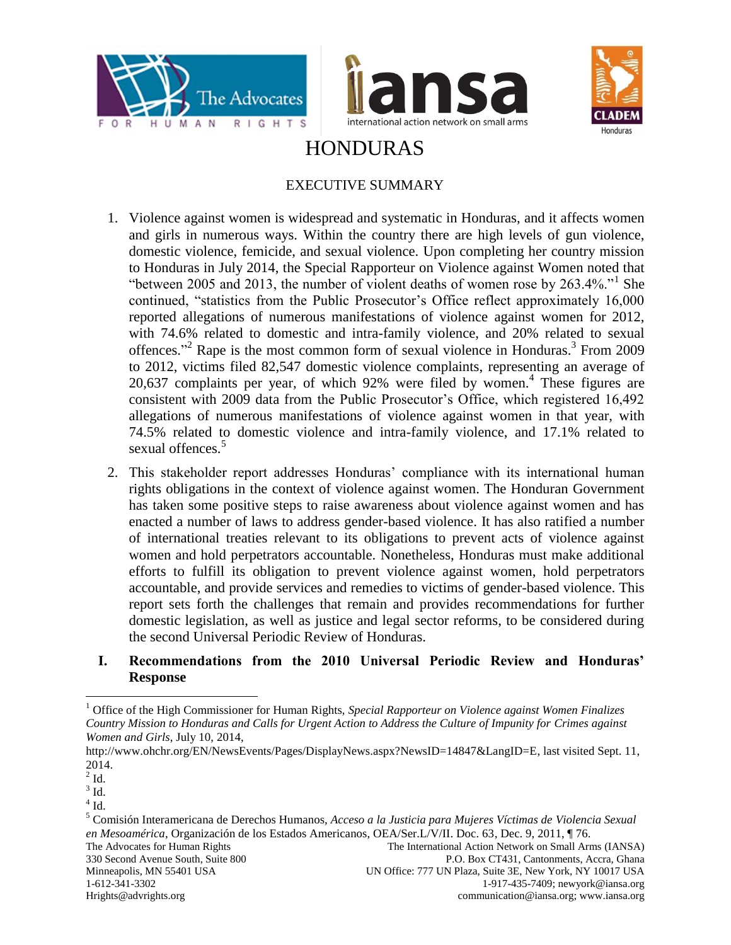



<span id="page-0-0"></span>

# HONDURAS

# EXECUTIVE SUMMARY

- 1. Violence against women is widespread and systematic in Honduras, and it affects women and girls in numerous ways. Within the country there are high levels of gun violence, domestic violence, femicide, and sexual violence. Upon completing her country mission to Honduras in July 2014, the Special Rapporteur on Violence against Women noted that "between 2005 and 2013, the number of violent deaths of women rose by 263.4%."<sup>1</sup> She continued, "statistics from the Public Prosecutor's Office reflect approximately 16,000 reported allegations of numerous manifestations of violence against women for 2012, with 74.6% related to domestic and intra-family violence, and 20% related to sexual offences." <sup>2</sup> Rape is the most common form of sexual violence in Honduras. 3 From 2009 to 2012, victims filed 82,547 domestic violence complaints, representing an average of 20,637 complaints per year, of which 92% were filed by women.<sup>4</sup> These figures are consistent with 2009 data from the Public Prosecutor's Office, which registered 16,492 allegations of numerous manifestations of violence against women in that year, with 74.5% related to domestic violence and intra-family violence, and 17.1% related to sexual offences.<sup>5</sup>
- 2. This stakeholder report addresses Honduras' compliance with its international human rights obligations in the context of violence against women. The Honduran Government has taken some positive steps to raise awareness about violence against women and has enacted a number of laws to address gender-based violence. It has also ratified a number of international treaties relevant to its obligations to prevent acts of violence against women and hold perpetrators accountable. Nonetheless, Honduras must make additional efforts to fulfill its obligation to prevent violence against women, hold perpetrators accountable, and provide services and remedies to victims of gender-based violence. This report sets forth the challenges that remain and provides recommendations for further domestic legislation, as well as justice and legal sector reforms, to be considered during the second Universal Periodic Review of Honduras.

#### **I. Recommendations from the 2010 Universal Periodic Review and Honduras' Response**

<sup>1</sup> Office of the High Commissioner for Human Rights, *Special Rapporteur on Violence against Women Finalizes Country Mission to Honduras and Calls for Urgent Action to Address the Culture of Impunity for Crimes against Women and Girls*, July 10, 2014,

http://www.ohchr.org/EN/NewsEvents/Pages/DisplayNews.aspx?NewsID=14847&LangID=E, last visited Sept. 11, 2014.

 $2$  Id.

 $3$  Id.

 $4$  Id.

The Advocates for Human Rights The International Action Network on Small Arms (IANSA) 330 Second Avenue South, Suite 800 P.O. Box CT431, Cantonments, Accra, Ghana Minneapolis, MN 55401 USA UN Office: 777 UN Plaza, Suite 3E, New York, NY 10017 USA 1-612-341-3302 1-917-435-7409; newyork@iansa.org Hrights@advrights.org communication@iansa.org; www.iansa.org <sup>5</sup> Comisión Interamericana de Derechos Humanos, *Acceso a la Justicia para Mujeres Víctimas de Violencia Sexual en Mesoamérica*, Organización de los Estados Americanos, OEA/Ser.L/V/II. Doc. 63, Dec. 9, 2011, ¶ 76.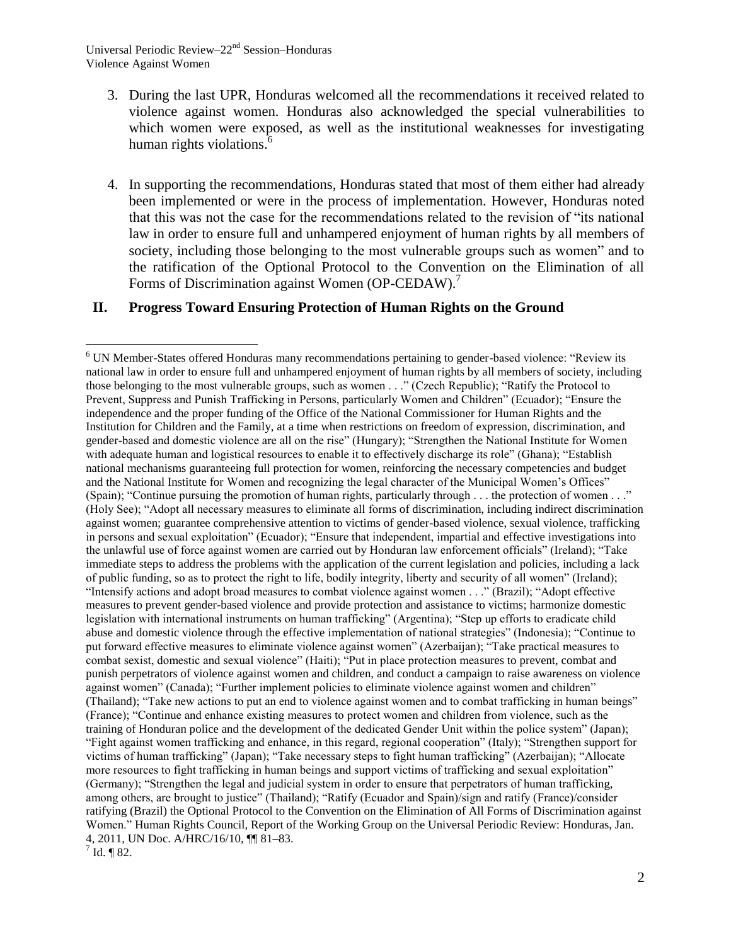Universal Periodic Review–22<sup>nd</sup> Session–Honduras Violence Against Women

- 3. During the last UPR, Honduras welcomed all the recommendations it received related to violence against women. Honduras also acknowledged the special vulnerabilities to which women were exposed, as well as the institutional weaknesses for investigating human rights violations.<sup>6</sup>
- 4. In supporting the recommendations, Honduras stated that most of them either had already been implemented or were in the process of implementation. However, Honduras noted that this was not the case for the recommendations related to the revision of "its national law in order to ensure full and unhampered enjoyment of human rights by all members of society, including those belonging to the most vulnerable groups such as women" and to the ratification of the Optional Protocol to the Convention on the Elimination of all Forms of Discrimination against Women (OP-CEDAW).<sup>7</sup>

#### **II. Progress Toward Ensuring Protection of Human Rights on the Ground**

<sup>6</sup> UN Member-States offered Honduras many recommendations pertaining to gender-based violence: "Review its national law in order to ensure full and unhampered enjoyment of human rights by all members of society, including those belonging to the most vulnerable groups, such as women . . ." (Czech Republic); "Ratify the Protocol to Prevent, Suppress and Punish Trafficking in Persons, particularly Women and Children" (Ecuador); "Ensure the independence and the proper funding of the Office of the National Commissioner for Human Rights and the Institution for Children and the Family, at a time when restrictions on freedom of expression, discrimination, and gender-based and domestic violence are all on the rise" (Hungary); "Strengthen the National Institute for Women with adequate human and logistical resources to enable it to effectively discharge its role" (Ghana); "Establish national mechanisms guaranteeing full protection for women, reinforcing the necessary competencies and budget and the National Institute for Women and recognizing the legal character of the Municipal Women's Offices" (Spain); "Continue pursuing the promotion of human rights, particularly through . . . the protection of women . . ." (Holy See); "Adopt all necessary measures to eliminate all forms of discrimination, including indirect discrimination against women; guarantee comprehensive attention to victims of gender-based violence, sexual violence, trafficking in persons and sexual exploitation" (Ecuador); "Ensure that independent, impartial and effective investigations into the unlawful use of force against women are carried out by Honduran law enforcement officials" (Ireland); "Take immediate steps to address the problems with the application of the current legislation and policies, including a lack of public funding, so as to protect the right to life, bodily integrity, liberty and security of all women" (Ireland); "Intensify actions and adopt broad measures to combat violence against women . . ." (Brazil); "Adopt effective measures to prevent gender-based violence and provide protection and assistance to victims; harmonize domestic legislation with international instruments on human trafficking" (Argentina); "Step up efforts to eradicate child abuse and domestic violence through the effective implementation of national strategies" (Indonesia); "Continue to put forward effective measures to eliminate violence against women" (Azerbaijan); "Take practical measures to combat sexist, domestic and sexual violence" (Haiti); "Put in place protection measures to prevent, combat and punish perpetrators of violence against women and children, and conduct a campaign to raise awareness on violence against women" (Canada); "Further implement policies to eliminate violence against women and children" (Thailand); "Take new actions to put an end to violence against women and to combat trafficking in human beings" (France); "Continue and enhance existing measures to protect women and children from violence, such as the training of Honduran police and the development of the dedicated Gender Unit within the police system" (Japan); "Fight against women trafficking and enhance, in this regard, regional cooperation" (Italy); "Strengthen support for victims of human trafficking" (Japan); "Take necessary steps to fight human trafficking" (Azerbaijan); "Allocate more resources to fight trafficking in human beings and support victims of trafficking and sexual exploitation" (Germany); "Strengthen the legal and judicial system in order to ensure that perpetrators of human trafficking, among others, are brought to justice" (Thailand); "Ratify (Ecuador and Spain)/sign and ratify (France)/consider ratifying (Brazil) the Optional Protocol to the Convention on the Elimination of All Forms of Discrimination against Women." Human Rights Council, Report of the Working Group on the Universal Periodic Review: Honduras, Jan. 4, 2011, UN Doc. A/HRC/16/10, ¶¶ 81–83.

 $^{7}$  Id. ¶ 82.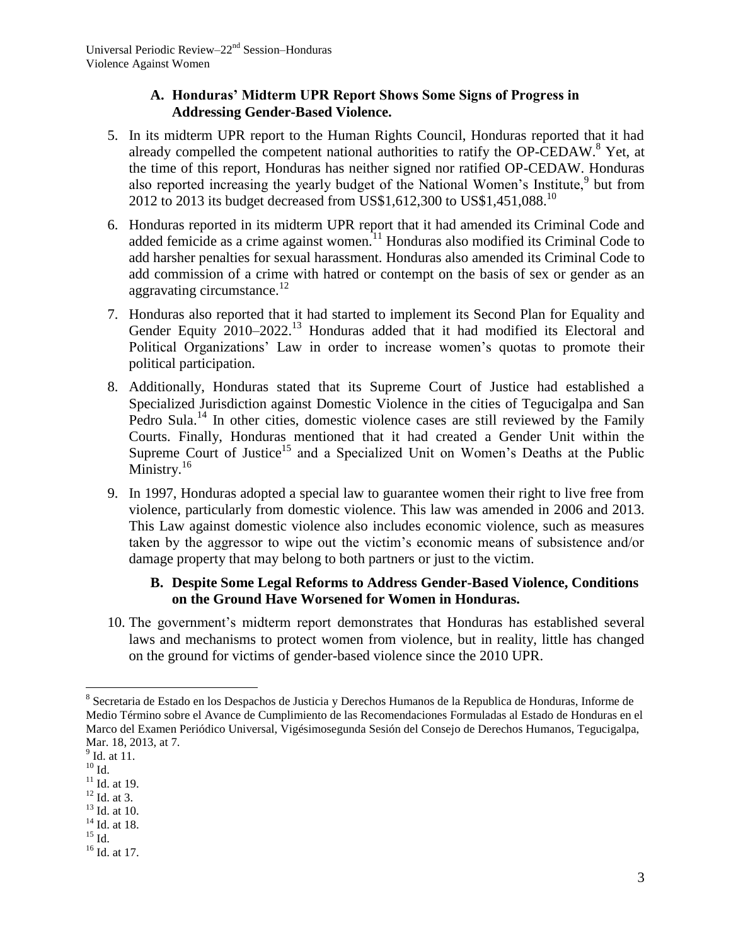# **A. Honduras' Midterm UPR Report Shows Some Signs of Progress in Addressing Gender-Based Violence.**

- 5. In its midterm UPR report to the Human Rights Council, Honduras reported that it had already compelled the competent national authorities to ratify the OP-CEDAW.<sup>8</sup> Yet, at the time of this report, Honduras has neither signed nor ratified OP-CEDAW. Honduras also reported increasing the yearly budget of the National Women's Institute,<sup>9</sup> but from 2012 to 2013 its budget decreased from US\$1,612,300 to US\$1,451,088.<sup>10</sup>
- 6. Honduras reported in its midterm UPR report that it had amended its Criminal Code and added femicide as a crime against women.<sup>11</sup> Honduras also modified its Criminal Code to add harsher penalties for sexual harassment. Honduras also amended its Criminal Code to add commission of a crime with hatred or contempt on the basis of sex or gender as an aggravating circumstance.<sup>12</sup>
- 7. Honduras also reported that it had started to implement its Second Plan for Equality and Gender Equity 2010–2022.<sup>13</sup> Honduras added that it had modified its Electoral and Political Organizations' Law in order to increase women's quotas to promote their political participation.
- 8. Additionally, Honduras stated that its Supreme Court of Justice had established a Specialized Jurisdiction against Domestic Violence in the cities of Tegucigalpa and San Pedro Sula.<sup>14</sup> In other cities, domestic violence cases are still reviewed by the Family Courts. Finally, Honduras mentioned that it had created a Gender Unit within the Supreme Court of Justice<sup>15</sup> and a Specialized Unit on Women's Deaths at the Public Ministry. $16$
- 9. In 1997, Honduras adopted a special law to guarantee women their right to live free from violence, particularly from domestic violence. This law was amended in 2006 and 2013. This Law against domestic violence also includes economic violence, such as measures taken by the aggressor to wipe out the victim's economic means of subsistence and/or damage property that may belong to both partners or just to the victim.

# **B. Despite Some Legal Reforms to Address Gender-Based Violence, Conditions on the Ground Have Worsened for Women in Honduras.**

10. The government's midterm report demonstrates that Honduras has established several laws and mechanisms to protect women from violence, but in reality, little has changed on the ground for victims of gender-based violence since the 2010 UPR.

 $\overline{a}$ <sup>8</sup> Secretaria de Estado en los Despachos de Justicia y Derechos Humanos de la Republica de Honduras, Informe de Medio Término sobre el Avance de Cumplimiento de las Recomendaciones Formuladas al Estado de Honduras en el Marco del Examen Periódico Universal, Vigésimosegunda Sesión del Consejo de Derechos Humanos, Tegucigalpa, Mar. 18, 2013, at 7.

<sup>&</sup>lt;sup>9</sup> Id. at 11.

 $^{10}$  Id.

 $11$  Id. at 19.

 $12$  Id. at 3.

<sup>13</sup> Id. at 10. <sup>14</sup> Id. at 18.

 $^{15}$  Id.

 $16$  Id. at 17.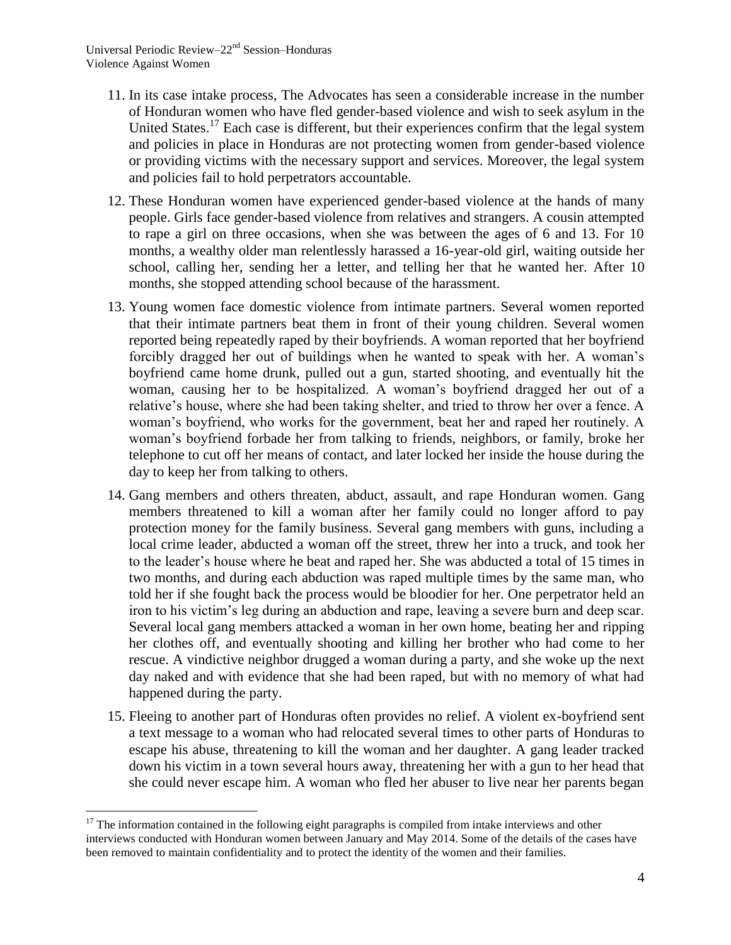- 11. In its case intake process, The Advocates has seen a considerable increase in the number of Honduran women who have fled gender-based violence and wish to seek asylum in the United States.<sup>17</sup> Each case is different, but their experiences confirm that the legal system and policies in place in Honduras are not protecting women from gender-based violence or providing victims with the necessary support and services. Moreover, the legal system and policies fail to hold perpetrators accountable.
- 12. These Honduran women have experienced gender-based violence at the hands of many people. Girls face gender-based violence from relatives and strangers. A cousin attempted to rape a girl on three occasions, when she was between the ages of 6 and 13. For 10 months, a wealthy older man relentlessly harassed a 16-year-old girl, waiting outside her school, calling her, sending her a letter, and telling her that he wanted her. After 10 months, she stopped attending school because of the harassment.
- 13. Young women face domestic violence from intimate partners. Several women reported that their intimate partners beat them in front of their young children. Several women reported being repeatedly raped by their boyfriends. A woman reported that her boyfriend forcibly dragged her out of buildings when he wanted to speak with her. A woman's boyfriend came home drunk, pulled out a gun, started shooting, and eventually hit the woman, causing her to be hospitalized. A woman's boyfriend dragged her out of a relative's house, where she had been taking shelter, and tried to throw her over a fence. A woman's boyfriend, who works for the government, beat her and raped her routinely. A woman's boyfriend forbade her from talking to friends, neighbors, or family, broke her telephone to cut off her means of contact, and later locked her inside the house during the day to keep her from talking to others.
- 14. Gang members and others threaten, abduct, assault, and rape Honduran women. Gang members threatened to kill a woman after her family could no longer afford to pay protection money for the family business. Several gang members with guns, including a local crime leader, abducted a woman off the street, threw her into a truck, and took her to the leader's house where he beat and raped her. She was abducted a total of 15 times in two months, and during each abduction was raped multiple times by the same man, who told her if she fought back the process would be bloodier for her. One perpetrator held an iron to his victim's leg during an abduction and rape, leaving a severe burn and deep scar. Several local gang members attacked a woman in her own home, beating her and ripping her clothes off, and eventually shooting and killing her brother who had come to her rescue. A vindictive neighbor drugged a woman during a party, and she woke up the next day naked and with evidence that she had been raped, but with no memory of what had happened during the party.
- 15. Fleeing to another part of Honduras often provides no relief. A violent ex-boyfriend sent a text message to a woman who had relocated several times to other parts of Honduras to escape his abuse, threatening to kill the woman and her daughter. A gang leader tracked down his victim in a town several hours away, threatening her with a gun to her head that she could never escape him. A woman who fled her abuser to live near her parents began

<sup>&</sup>lt;sup>17</sup> The information contained in the following eight paragraphs is compiled from intake interviews and other interviews conducted with Honduran women between January and May 2014. Some of the details of the cases have been removed to maintain confidentiality and to protect the identity of the women and their families.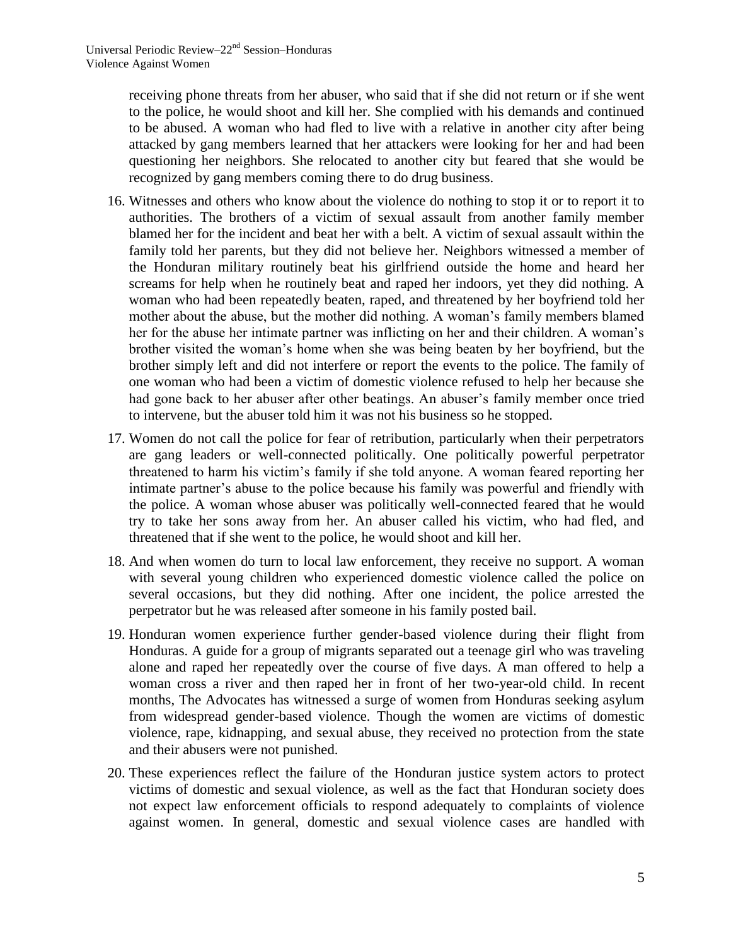receiving phone threats from her abuser, who said that if she did not return or if she went to the police, he would shoot and kill her. She complied with his demands and continued to be abused. A woman who had fled to live with a relative in another city after being attacked by gang members learned that her attackers were looking for her and had been questioning her neighbors. She relocated to another city but feared that she would be recognized by gang members coming there to do drug business.

- 16. Witnesses and others who know about the violence do nothing to stop it or to report it to authorities. The brothers of a victim of sexual assault from another family member blamed her for the incident and beat her with a belt. A victim of sexual assault within the family told her parents, but they did not believe her. Neighbors witnessed a member of the Honduran military routinely beat his girlfriend outside the home and heard her screams for help when he routinely beat and raped her indoors, yet they did nothing. A woman who had been repeatedly beaten, raped, and threatened by her boyfriend told her mother about the abuse, but the mother did nothing. A woman's family members blamed her for the abuse her intimate partner was inflicting on her and their children. A woman's brother visited the woman's home when she was being beaten by her boyfriend, but the brother simply left and did not interfere or report the events to the police. The family of one woman who had been a victim of domestic violence refused to help her because she had gone back to her abuser after other beatings. An abuser's family member once tried to intervene, but the abuser told him it was not his business so he stopped.
- 17. Women do not call the police for fear of retribution, particularly when their perpetrators are gang leaders or well-connected politically. One politically powerful perpetrator threatened to harm his victim's family if she told anyone. A woman feared reporting her intimate partner's abuse to the police because his family was powerful and friendly with the police. A woman whose abuser was politically well-connected feared that he would try to take her sons away from her. An abuser called his victim, who had fled, and threatened that if she went to the police, he would shoot and kill her.
- 18. And when women do turn to local law enforcement, they receive no support. A woman with several young children who experienced domestic violence called the police on several occasions, but they did nothing. After one incident, the police arrested the perpetrator but he was released after someone in his family posted bail.
- 19. Honduran women experience further gender-based violence during their flight from Honduras. A guide for a group of migrants separated out a teenage girl who was traveling alone and raped her repeatedly over the course of five days. A man offered to help a woman cross a river and then raped her in front of her two-year-old child. In recent months, The Advocates has witnessed a surge of women from Honduras seeking asylum from widespread gender-based violence. Though the women are victims of domestic violence, rape, kidnapping, and sexual abuse, they received no protection from the state and their abusers were not punished.
- 20. These experiences reflect the failure of the Honduran justice system actors to protect victims of domestic and sexual violence, as well as the fact that Honduran society does not expect law enforcement officials to respond adequately to complaints of violence against women. In general, domestic and sexual violence cases are handled with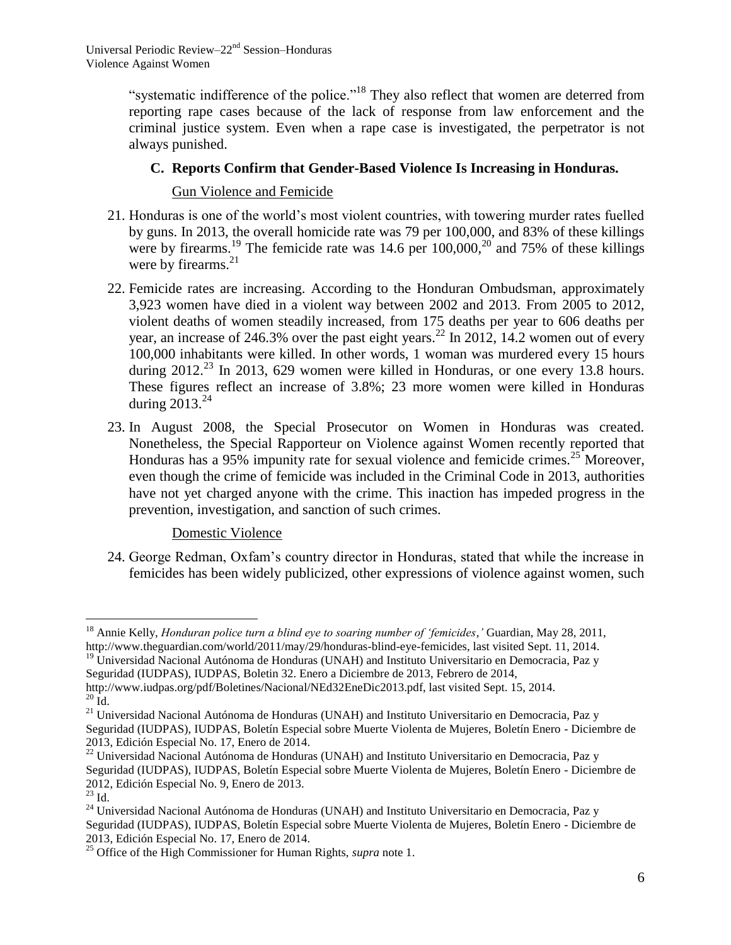"systematic indifference of the police."<sup>18</sup> They also reflect that women are deterred from reporting rape cases because of the lack of response from law enforcement and the criminal justice system. Even when a rape case is investigated, the perpetrator is not always punished.

# **C. Reports Confirm that Gender-Based Violence Is Increasing in Honduras.**

Gun Violence and Femicide

- 21. Honduras is one of the world's most violent countries, with towering murder rates fuelled by guns. In 2013, the overall homicide rate was 79 per 100,000, and 83% of these killings were by firearms.<sup>19</sup> The femicide rate was  $14.6$  per  $100,000$ ,<sup>20</sup> and 75% of these killings were by firearms.<sup>21</sup>
- 22. Femicide rates are increasing. According to the Honduran Ombudsman, approximately 3,923 women have died in a violent way between 2002 and 2013. From 2005 to 2012, violent deaths of women steadily increased, from 175 deaths per year to 606 deaths per year, an increase of 246.3% over the past eight years.<sup>22</sup> In 2012, 14.2 women out of every 100,000 inhabitants were killed. In other words, 1 woman was murdered every 15 hours during  $2012<sup>23</sup>$  In 2013, 629 women were killed in Honduras, or one every 13.8 hours. These figures reflect an increase of 3.8%; 23 more women were killed in Honduras during  $2013.<sup>24</sup>$
- 23. In August 2008, the Special Prosecutor on Women in Honduras was created. Nonetheless, the Special Rapporteur on Violence against Women recently reported that Honduras has a 95% impunity rate for sexual violence and femicide crimes.<sup>25</sup> Moreover, even though the crime of femicide was included in the Criminal Code in 2013, authorities have not yet charged anyone with the crime. This inaction has impeded progress in the prevention, investigation, and sanction of such crimes.

# Domestic Violence

24. George Redman, Oxfam's country director in Honduras, stated that while the increase in femicides has been widely publicized, other expressions of violence against women, such

<sup>18</sup> Annie Kelly, *Honduran police turn a blind eye to soaring number of 'femicides*,*'* Guardian, May 28, 2011, http://www.theguardian.com/world/2011/may/29/honduras-blind-eye-femicides, last visited Sept. 11, 2014.

 $19$  Universidad Nacional Autónoma de Honduras (UNAH) and Instituto Universitario en Democracia, Paz y Seguridad (IUDPAS), IUDPAS, Boletin 32. Enero a Diciembre de 2013, Febrero de 2014,

http://www.iudpas.org/pdf/Boletines/Nacional/NEd32EneDic2013.pdf, last visited Sept. 15, 2014.  $^{20}$  Id.

<sup>&</sup>lt;sup>21</sup> Universidad Nacional Autónoma de Honduras (UNAH) and Instituto Universitario en Democracia, Paz y Seguridad (IUDPAS), IUDPAS, Boletín Especial sobre Muerte Violenta de Mujeres, Boletín Enero - Diciembre de 2013, Edición Especial No. 17, Enero de 2014.

<sup>&</sup>lt;sup>22</sup> Universidad Nacional Autónoma de Honduras (UNAH) and Instituto Universitario en Democracia, Paz y Seguridad (IUDPAS), IUDPAS, Boletín Especial sobre Muerte Violenta de Mujeres, Boletín Enero - Diciembre de 2012, Edición Especial No. 9, Enero de 2013.

 $^{23}$  Id.

<sup>&</sup>lt;sup>24</sup> Universidad Nacional Autónoma de Honduras (UNAH) and Instituto Universitario en Democracia, Paz y Seguridad (IUDPAS), IUDPAS, Boletín Especial sobre Muerte Violenta de Mujeres, Boletín Enero - Diciembre de 2013, Edición Especial No. 17, Enero de 2014.

<sup>&</sup>lt;sup>25</sup> Office of the High Commissioner for Human Rights, *supra* note [1.](#page-0-0)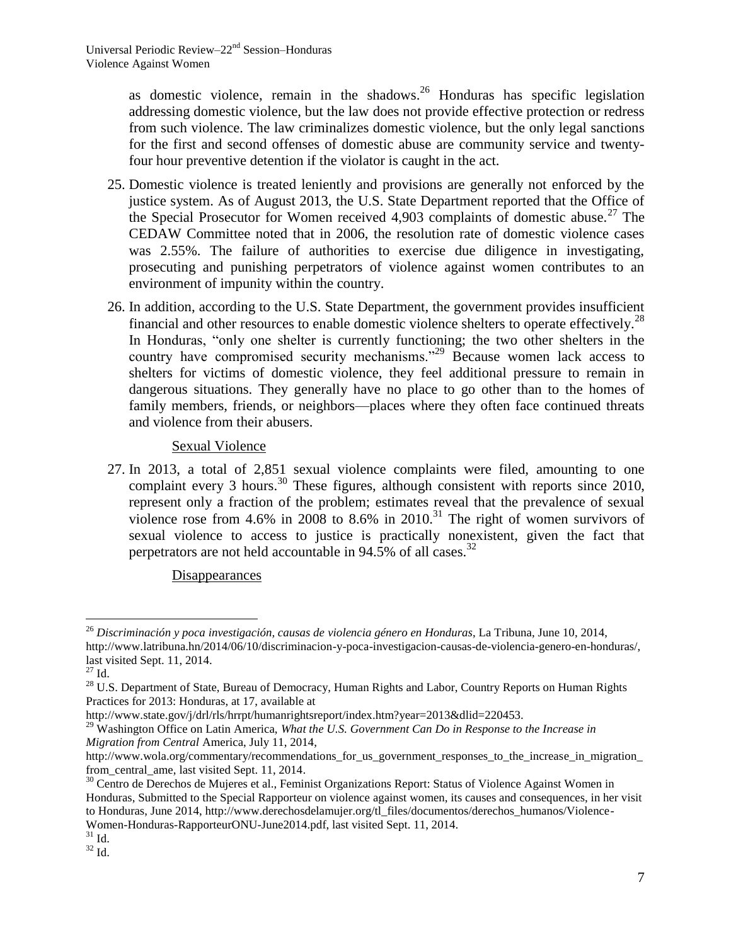as domestic violence, remain in the shadows. $26$  Honduras has specific legislation addressing domestic violence, but the law does not provide effective protection or redress from such violence. The law criminalizes domestic violence, but the only legal sanctions for the first and second offenses of domestic abuse are community service and twentyfour hour preventive detention if the violator is caught in the act.

- 25. Domestic violence is treated leniently and provisions are generally not enforced by the justice system. As of August 2013, the U.S. State Department reported that the Office of the Special Prosecutor for Women received  $4.903$  complaints of domestic abuse.<sup>27</sup> The CEDAW Committee noted that in 2006, the resolution rate of domestic violence cases was 2.55%. The failure of authorities to exercise due diligence in investigating, prosecuting and punishing perpetrators of violence against women contributes to an environment of impunity within the country.
- 26. In addition, according to the U.S. State Department, the government provides insufficient financial and other resources to enable domestic violence shelters to operate effectively.<sup>28</sup> In Honduras, "only one shelter is currently functioning; the two other shelters in the country have compromised security mechanisms."<sup>29</sup> Because women lack access to shelters for victims of domestic violence, they feel additional pressure to remain in dangerous situations. They generally have no place to go other than to the homes of family members, friends, or neighbors—places where they often face continued threats and violence from their abusers.

#### Sexual Violence

27. In 2013, a total of 2,851 sexual violence complaints were filed, amounting to one complaint every 3 hours.<sup>30</sup> These figures, although consistent with reports since 2010, represent only a fraction of the problem; estimates reveal that the prevalence of sexual violence rose from 4.6% in 2008 to 8.6% in 2010.<sup>31</sup> The right of women survivors of sexual violence to access to justice is practically nonexistent, given the fact that perpetrators are not held accountable in 94.5% of all cases.<sup>32</sup>

# Disappearances

 $\overline{a}$ <sup>26</sup> *Discriminación y poca investigación, causas de violencia género en Honduras*, La Tribuna, June 10, 2014, http://www.latribuna.hn/2014/06/10/discriminacion-y-poca-investigacion-causas-de-violencia-genero-en-honduras/, last visited Sept. 11, 2014.

 $^{27}$  Id.  $\,$ 

<sup>&</sup>lt;sup>28</sup> U.S. Department of State, Bureau of Democracy, Human Rights and Labor, Country Reports on Human Rights Practices for 2013: Honduras, at 17, available at

http://www.state.gov/j/drl/rls/hrrpt/humanrightsreport/index.htm?year=2013&dlid=220453.

<sup>29</sup> Washington Office on Latin America, *What the U.S. Government Can Do in Response to the Increase in Migration from Central* America, July 11, 2014,

http://www.wola.org/commentary/recommendations\_for\_us\_government\_responses\_to\_the\_increase\_in\_migration from\_central\_ame, last visited Sept. 11, 2014.

<sup>&</sup>lt;sup>30</sup> Centro de Derechos de Mujeres et al., Feminist Organizations Report: Status of Violence Against Women in Honduras, Submitted to the Special Rapporteur on violence against women, its causes and consequences, in her visit to Honduras, June 2014, http://www.derechosdelamujer.org/tl\_files/documentos/derechos\_humanos/Violence-Women-Honduras-RapporteurONU-June2014.pdf, last visited Sept. 11, 2014.

 $31$  Id.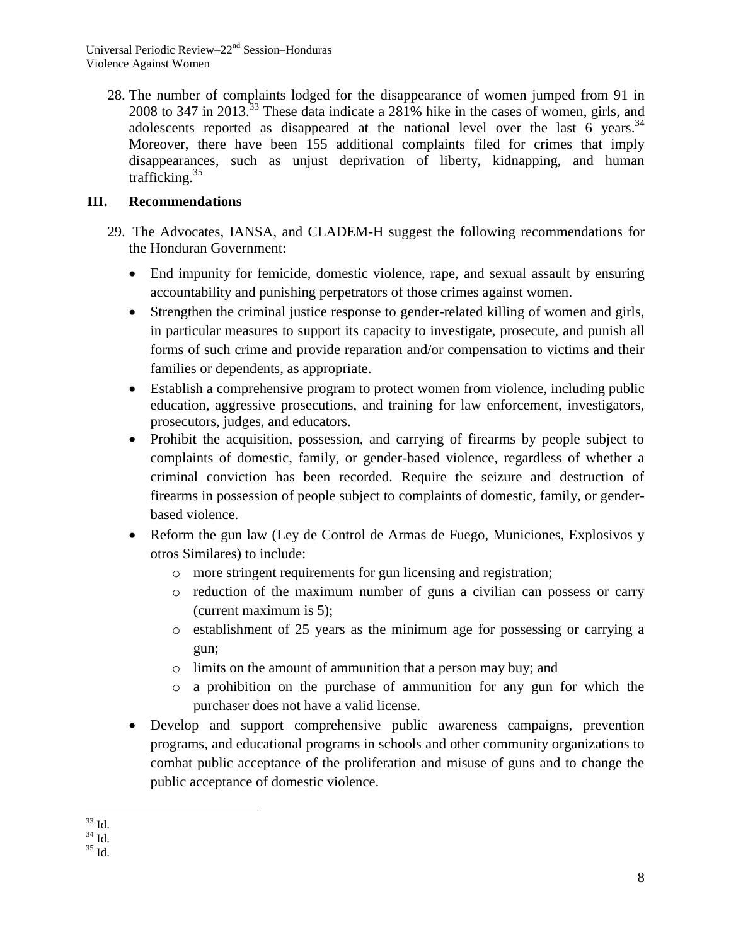Universal Periodic Review–22nd Session–Honduras Violence Against Women

28. The number of complaints lodged for the disappearance of women jumped from 91 in 2008 to 347 in 2013.<sup>33</sup> These data indicate a 281% hike in the cases of women, girls, and adolescents reported as disappeared at the national level over the last 6 years.<sup>34</sup> Moreover, there have been 155 additional complaints filed for crimes that imply disappearances, such as unjust deprivation of liberty, kidnapping, and human trafficking. 35

# **III. Recommendations**

- 29. The Advocates, IANSA, and CLADEM-H suggest the following recommendations for the Honduran Government:
	- End impunity for femicide, domestic violence, rape, and sexual assault by ensuring accountability and punishing perpetrators of those crimes against women.
	- Strengthen the criminal justice response to gender-related killing of women and girls, in particular measures to support its capacity to investigate, prosecute, and punish all forms of such crime and provide reparation and/or compensation to victims and their families or dependents, as appropriate.
	- Establish a comprehensive program to protect women from violence, including public education, aggressive prosecutions, and training for law enforcement, investigators, prosecutors, judges, and educators.
	- Prohibit the acquisition, possession, and carrying of firearms by people subject to complaints of domestic, family, or gender-based violence, regardless of whether a criminal conviction has been recorded. Require the seizure and destruction of firearms in possession of people subject to complaints of domestic, family, or genderbased violence.
	- Reform the gun law (Ley de Control de Armas de Fuego, Municiones, Explosivos y otros Similares) to include:
		- o more stringent requirements for gun licensing and registration;
		- o reduction of the maximum number of guns a civilian can possess or carry (current maximum is 5);
		- o establishment of 25 years as the minimum age for possessing or carrying a gun;
		- o limits on the amount of ammunition that a person may buy; and
		- $\circ$  a prohibition on the purchase of ammunition for any gun for which the purchaser does not have a valid license.
	- Develop and support comprehensive public awareness campaigns, prevention programs, and educational programs in schools and other community organizations to combat public acceptance of the proliferation and misuse of guns and to change the public acceptance of domestic violence.

 $\overline{a}$  $33$  Id.

 $34 \overline{1d}$ 

 $^{35}$  Id.